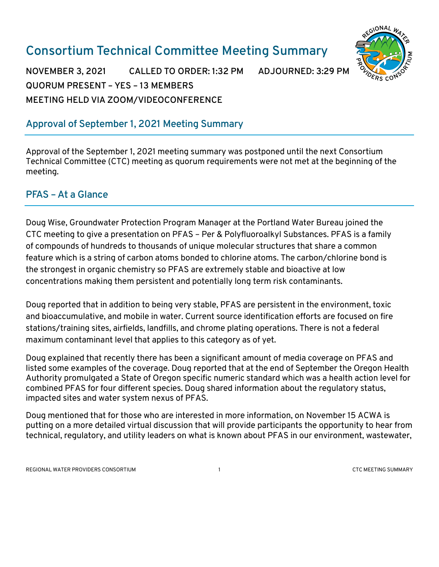# **Consortium Technical Committee Meeting Summary**



**NOVEMBER 3, 2021 CALLED TO ORDER: 1:32 PM ADJOURNED: 3:29 PM QUORUM PRESENT – YES – 13 MEMBERS MEETING HELD VIA ZOOM/VIDEOCONFERENCE**

# **Approval of September 1, 2021 Meeting Summary**

Approval of the September 1, 2021 meeting summary was postponed until the next Consortium Technical Committee (CTC) meeting as quorum requirements were not met at the beginning of the meeting.

#### **PFAS –At a Glance**

Doug Wise, Groundwater Protection Program Manager at the Portland Water Bureau joined the CTC meeting to give a presentation on PFAS – Per & Polyfluoroalkyl Substances. PFAS is a family of compounds of hundreds to thousands of unique molecular structures that share a common feature which is a string of carbon atoms bonded to chlorine atoms. The carbon/chlorine bond is the strongest in organic chemistry so PFAS are extremely stable and bioactive at low concentrations making them persistent and potentially long term risk contaminants.

Doug reported that in addition to being very stable, PFAS are persistent in the environment, toxic and bioaccumulative, and mobile in water. Current source identification efforts are focused on fire stations/training sites, airfields, landfills, and chrome plating operations. There is not a federal maximum contaminant level that applies to this category as of yet.

Doug explained that recently there has been a significant amount of media coverage on PFAS and listed some examples of the coverage. Doug reported that at the end of September the Oregon Health Authority promulgated a State of Oregon specific numeric standard which was a health action level for combined PFAS for four different species. Doug shared information about the regulatory status, impacted sites and water system nexus of PFAS.

Doug mentioned that for those who are interested in more information, on November 15 ACWA is putting on a more detailed virtual discussion that will provide participants the opportunity to hear from technical, regulatory, and utility leaders on what is known about PFAS in our environment, wastewater,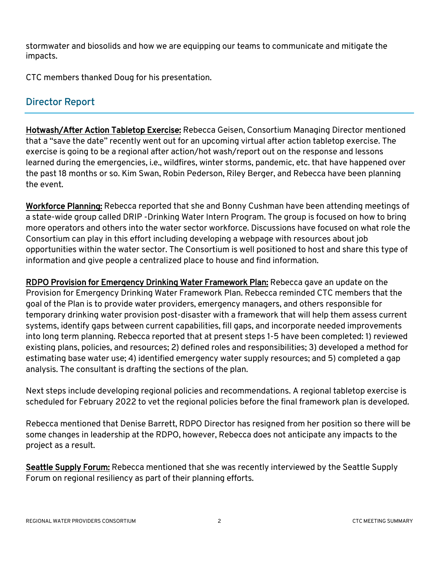stormwater and biosolids and how we are equipping our teams to communicate and mitigate the impacts.

CTC members thanked Doug for his presentation.

# **Director Report**

Hotwash/After Action Tabletop Exercise: Rebecca Geisen, Consortium Managing Director mentioned that a "save the date" recently went out for an upcoming virtual after action tabletop exercise. The exercise is going to be a regional after action/hot wash/report out on the response and lessons learned during the emergencies, i.e., wildfires, winter storms, pandemic, etc. that have happened over the past 18 months or so. Kim Swan, Robin Pederson, Riley Berger, and Rebecca have been planning the event.

Workforce Planning: Rebecca reported that she and Bonny Cushman have been attending meetings of a state-wide group called DRIP -Drinking Water Intern Program. The group is focused on how to bring more operators and others into the water sector workforce. Discussions have focused on what role the Consortium can play in this effort including developing a webpage with resources about job opportunities within the water sector. The Consortium is well positioned to host and share this type of information and give people a centralized place to house and find information.

RDPO Provision for Emergency Drinking Water Framework Plan: Rebecca gave an update on the Provision for Emergency Drinking Water Framework Plan. Rebecca reminded CTC members that the goal of the Plan is to provide water providers, emergency managers, and others responsible for temporary drinking water provision post-disaster with a framework that will help them assess current systems, identify gaps between current capabilities, fill gaps, and incorporate needed improvements into long term planning. Rebecca reported that at present steps 1-5 have been completed: 1) reviewed existing plans, policies, and resources; 2) defined roles and responsibilities; 3) developed a method for estimating base water use; 4) identified emergency water supply resources; and 5) completed a gap analysis. The consultant is drafting the sections of the plan.

Next steps include developing regional policies and recommendations. A regional tabletop exercise is scheduled for February 2022 to vet the regional policies before the final framework plan is developed.

Rebecca mentioned that Denise Barrett, RDPO Director has resigned from her position so there will be some changes in leadership at the RDPO, however, Rebecca does not anticipate any impacts to the project as a result.

Seattle Supply Forum: Rebecca mentioned that she was recently interviewed by the Seattle Supply Forum on regional resiliency as part of their planning efforts.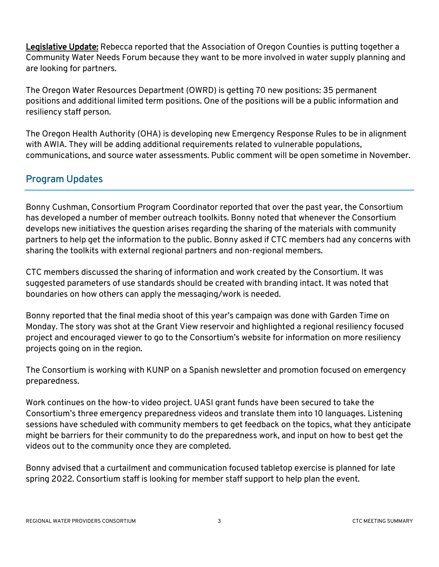Legislative Update: Rebecca reported that the Association of Oregon Counties is putting together a Community Water Needs Forum because they want to be more involved in water supply planning and are looking for partners.

The Oregon Water Resources Department (OWRD) is getting 70 new positions: 35 permanent positions and additional limited term positions. One of the positions will be a public information and resiliency staff person.

The Oregon Health Authority (OHA) is developing new Emergency Response Rules to be in alignment with AWIA. They will be adding additional requirements related to vulnerable populations, communications, and source water assessments. Public comment will be open sometime in November.

#### **Program Updates**

Bonny Cushman, Consortium Program Coordinator reported that over the past year, the Consortium has developed a number of member outreach toolkits. Bonny noted that whenever the Consortium develops new initiatives the question arises regarding the sharing of the materials with community partners to help get the information to the public. Bonny asked if CTC members had any concerns with sharing the toolkits with external regional partners and non-regional members.

CTC members discussed the sharing of information and work created by the Consortium. It was suggested parameters of use standards should be created with branding intact. It was noted that boundaries on how others can apply the messaging/work is needed.

Bonny reported that the final media shoot of this year's campaign was done with Garden Time on Monday. The story was shot at the Grant View reservoir and highlighted a regional resiliency focused project and encouraged viewer to go to the Consortium's website for information on more resiliency projects going on in the region.

The Consortium is working with KUNP on a Spanish newsletter and promotion focused on emergency preparedness.

Work continues on the how-to video project. UASI grant funds have been secured to take the Consortium's three emergency preparedness videos and translate them into 10 languages. Listening sessions have scheduled with community members to get feedback on the topics, what they anticipate might be barriers for their community to do the preparedness work, and input on how to best get the videos out to the community once they are completed.

Bonny advised that a curtailment and communication focused tabletop exercise is planned for late spring 2022. Consortium staff is looking for member staff support to help plan the event.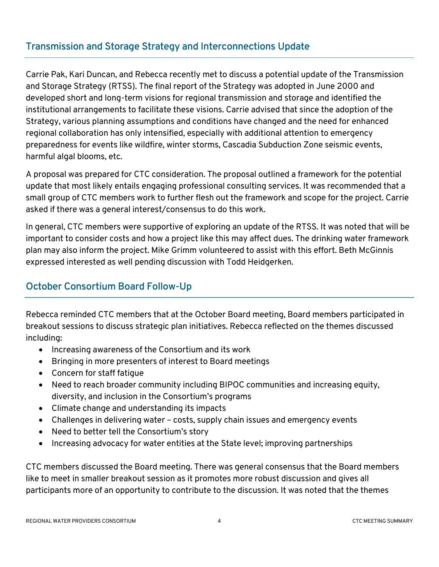### **Transmission and Storage Strategy and Interconnections Update**

Carrie Pak, Kari Duncan, and Rebecca recently met to discuss a potential update of the Transmission and Storage Strategy (RTSS). The final report of the Strategy was adopted in June 2000 and developed short and long-term visions for regional transmission and storage and identified the institutional arrangements to facilitate these visions. Carrie advised that since the adoption of the Strategy, various planning assumptions and conditions have changed and the need for enhanced regional collaboration has only intensified, especially with additional attention to emergency preparedness for events like wildfire, winter storms, Cascadia Subduction Zone seismic events, harmful algal blooms, etc.

A proposal was prepared for CTC consideration. The proposal outlined a framework for the potential update that most likely entails engaging professional consulting services. It was recommended that a small group of CTC members work to further flesh out the framework and scope for the project. Carrie asked if there was a general interest/consensus to do this work.

In general, CTC members were supportive of exploring an update of the RTSS. It was noted that will be important to consider costs and how a project like this may affect dues. The drinking water framework plan may also inform the project. Mike Grimm volunteered to assist with this effort. Beth McGinnis expressed interested as well pending discussion with Todd Heidgerken.

#### **October Consortium Board Follow-Up**

Rebecca reminded CTC members that at the October Board meeting, Board members participated in breakout sessions to discuss strategic plan initiatives. Rebecca reflected on the themes discussed including:

- Increasing awareness of the Consortium and its work
- Bringing in more presenters of interest to Board meetings
- Concern for staff fatigue
- Need to reach broader community including BIPOC communities and increasing equity, diversity, and inclusion in the Consortium's programs
- Climate change and understanding its impacts
- Challenges in delivering water costs, supply chain issues and emergency events
- Need to better tell the Consortium's story
- Increasing advocacy for water entities at the State level; improving partnerships

CTC members discussed the Board meeting. There was general consensus that the Board members like to meet in smaller breakout session as it promotes more robust discussion and gives all participants more of an opportunity to contribute to the discussion. It was noted that the themes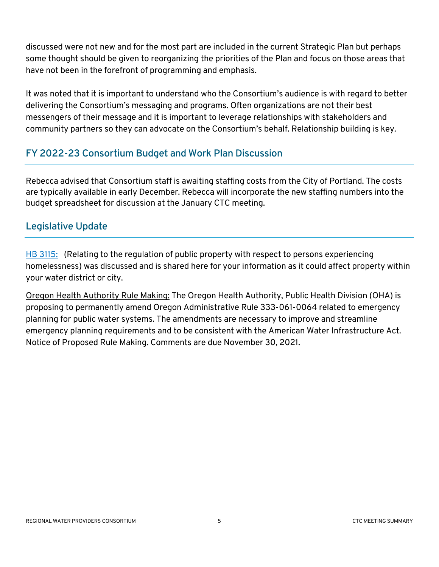discussed were not new and for the most part are included in the current Strategic Plan but perhaps some thought should be given to reorganizing the priorities of the Plan and focus on those areas that have not been in the forefront of programming and emphasis.

It was noted that it is important to understand who the Consortium's audience is with regard to better delivering the Consortium's messaging and programs. Often organizations are not their best messengers of their message and it is important to leverage relationships with stakeholders and community partners so they can advocate on the Consortium's behalf. Relationship building is key.

#### **FY 2022-23 Consortium Budget and Work Plan Discussion**

Rebecca advised that Consortium staff is awaiting staffing costs from the City of Portland. The costs are typically available in early December. Rebecca will incorporate the new staffing numbers into the budget spreadsheet for discussion at the January CTC meeting.

#### **Legislative Update**

[HB 3115:](https://olis.oregonlegislature.gov/liz/2021R1/Downloads/MeasureDocument/HB3115) (Relating to the regulation of public property with respect to persons experiencing homelessness) was discussed and is shared here for your information as it could affect property within your water district or city.

Oregon Health Authority Rule Making: The Oregon Health Authority, Public Health Division (OHA) is proposing to permanently amend Oregon Administrative Rule 333-061-0064 related to emergency planning for public water systems. The amendments are necessary to improve and streamline emergency planning requirements and to be consistent with the American Water Infrastructure Act. [Notice of Proposed Rule Making.](https://www.oregon.gov/oha/PH/HEALTHYENVIRONMENTS/DRINKINGWATER/RULES/Documents/rulemaking/erp-notice.pdf) Comments are due November 30, 2021.